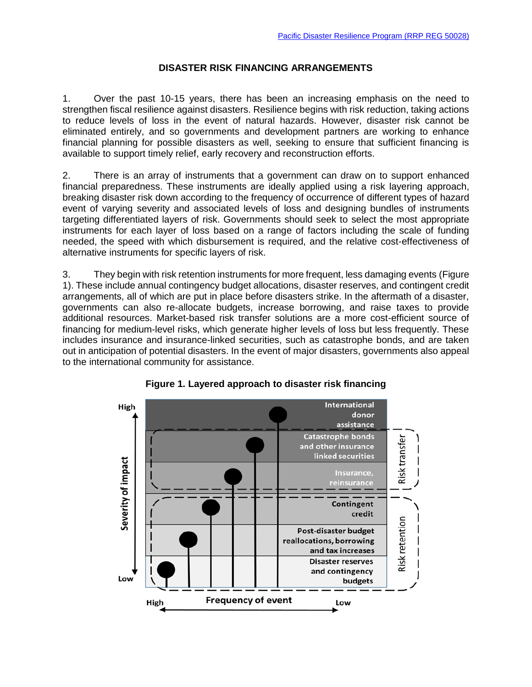## **DISASTER RISK FINANCING ARRANGEMENTS**

1. Over the past 10-15 years, there has been an increasing emphasis on the need to strengthen fiscal resilience against disasters. Resilience begins with risk reduction, taking actions to reduce levels of loss in the event of natural hazards. However, disaster risk cannot be eliminated entirely, and so governments and development partners are working to enhance financial planning for possible disasters as well, seeking to ensure that sufficient financing is available to support timely relief, early recovery and reconstruction efforts.

2. There is an array of instruments that a government can draw on to support enhanced financial preparedness. These instruments are ideally applied using a risk layering approach, breaking disaster risk down according to the frequency of occurrence of different types of hazard event of varying severity and associated levels of loss and designing bundles of instruments targeting differentiated layers of risk. Governments should seek to select the most appropriate instruments for each layer of loss based on a range of factors including the scale of funding needed, the speed with which disbursement is required, and the relative cost-effectiveness of alternative instruments for specific layers of risk.

3. They begin with risk retention instruments for more frequent, less damaging events (Figure 1). These include annual contingency budget allocations, disaster reserves, and contingent credit arrangements, all of which are put in place before disasters strike. In the aftermath of a disaster, governments can also re-allocate budgets, increase borrowing, and raise taxes to provide additional resources. Market-based risk transfer solutions are a more cost-efficient source of financing for medium-level risks, which generate higher levels of loss but less frequently. These includes insurance and insurance-linked securities, such as catastrophe bonds, and are taken out in anticipation of potential disasters. In the event of major disasters, governments also appeal to the international community for assistance.



**Figure 1. Layered approach to disaster risk financing**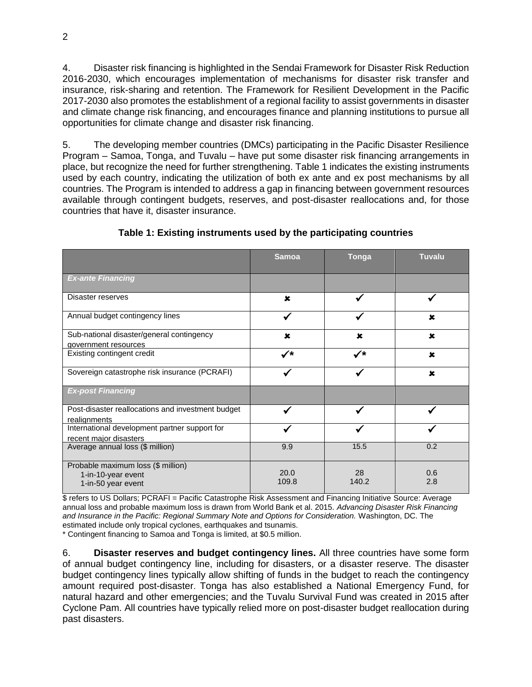4. Disaster risk financing is highlighted in the Sendai Framework for Disaster Risk Reduction 2016-2030, which encourages implementation of mechanisms for disaster risk transfer and insurance, risk-sharing and retention. The Framework for Resilient Development in the Pacific 2017-2030 also promotes the establishment of a regional facility to assist governments in disaster and climate change risk financing, and encourages finance and planning institutions to pursue all opportunities for climate change and disaster risk financing.

5. The developing member countries (DMCs) participating in the Pacific Disaster Resilience Program – Samoa, Tonga, and Tuvalu – have put some disaster risk financing arrangements in place, but recognize the need for further strengthening. Table 1 indicates the existing instruments used by each country, indicating the utilization of both ex ante and ex post mechanisms by all countries. The Program is intended to address a gap in financing between government resources available through contingent budgets, reserves, and post-disaster reallocations and, for those countries that have it, disaster insurance.

|                                                                                | <b>Samoa</b>  | Tonga       | <b>Tuvalu</b> |
|--------------------------------------------------------------------------------|---------------|-------------|---------------|
| <b>Ex-ante Financing</b>                                                       |               |             |               |
| Disaster reserves                                                              | $\mathbf x$   |             |               |
| Annual budget contingency lines                                                |               |             | $\mathbf x$   |
| Sub-national disaster/general contingency<br>government resources              | $\mathbf x$   | $\mathbf x$ | $\mathbf x$   |
| Existing contingent credit                                                     | ✓∗            | ✓∗          | $\mathbf x$   |
| Sovereign catastrophe risk insurance (PCRAFI)                                  |               |             | $\mathbf x$   |
| <b>Ex-post Financing</b>                                                       |               |             |               |
| Post-disaster reallocations and investment budget<br>realignments              |               |             |               |
| International development partner support for<br>recent major disasters        |               |             |               |
| Average annual loss (\$ million)                                               | 9.9           | 15.5        | 0.2           |
| Probable maximum loss (\$ million)<br>1-in-10-year event<br>1-in-50 year event | 20.0<br>109.8 | 28<br>140.2 | 0.6<br>2.8    |

**Table 1: Existing instruments used by the participating countries**

\$ refers to US Dollars; PCRAFI = Pacific Catastrophe Risk Assessment and Financing Initiative Source: Average annual loss and probable maximum loss is drawn from World Bank et al. 2015. *Advancing Disaster Risk Financing*  and Insurance in the Pacific: Regional Summary Note and Options for Consideration. Washington, DC. The estimated include only tropical cyclones, earthquakes and tsunamis.

\* Contingent financing to Samoa and Tonga is limited, at \$0.5 million.

6. **Disaster reserves and budget contingency lines.** All three countries have some form of annual budget contingency line, including for disasters, or a disaster reserve. The disaster budget contingency lines typically allow shifting of funds in the budget to reach the contingency amount required post-disaster. Tonga has also established a National Emergency Fund, for natural hazard and other emergencies; and the Tuvalu Survival Fund was created in 2015 after Cyclone Pam. All countries have typically relied more on post-disaster budget reallocation during past disasters.